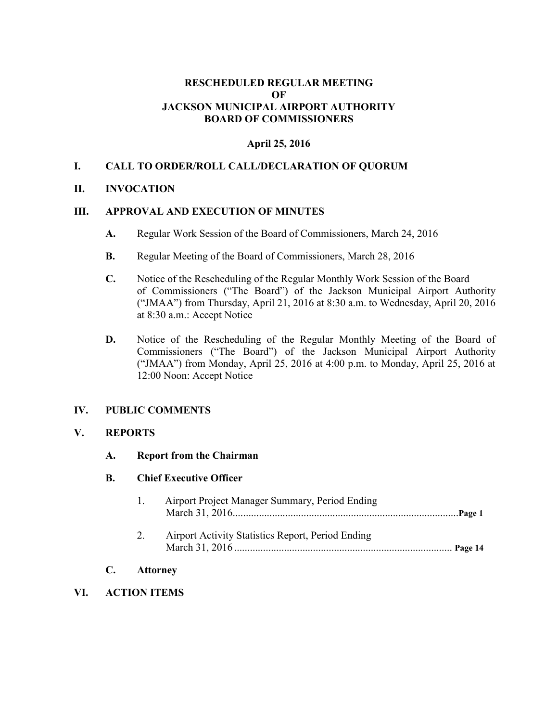#### **RESCHEDULED REGULAR MEETING OF JACKSON MUNICIPAL AIRPORT AUTHORITY BOARD OF COMMISSIONERS**

#### **April 25, 2016**

#### **I. CALL TO ORDER/ROLL CALL/DECLARATION OF QUORUM**

#### **II. INVOCATION**

#### **III. APPROVAL AND EXECUTION OF MINUTES**

- **A.** Regular Work Session of the Board of Commissioners, March 24, 2016
- **B.** Regular Meeting of the Board of Commissioners, March 28, 2016
- **C.** Notice of the Rescheduling of the Regular Monthly Work Session of the Board of Commissioners ("The Board") of the Jackson Municipal Airport Authority ("JMAA") from Thursday, April 21, 2016 at 8:30 a.m. to Wednesday, April 20, 2016 at 8:30 a.m.: Accept Notice
- **D.** Notice of the Rescheduling of the Regular Monthly Meeting of the Board of Commissioners ("The Board") of the Jackson Municipal Airport Authority ("JMAA") from Monday, April 25, 2016 at 4:00 p.m. to Monday, April 25, 2016 at 12:00 Noon: Accept Notice

#### **IV. PUBLIC COMMENTS**

#### **V. REPORTS**

#### **A. Report from the Chairman**

#### **B. Chief Executive Officer**

|    | $\mathbf{L}$ | Airport Project Manager Summary, Period Ending    |  |
|----|--------------|---------------------------------------------------|--|
|    | 2.           | Airport Activity Statistics Report, Period Ending |  |
| C. |              | <b>Attorney</b>                                   |  |

# **VI. ACTION ITEMS**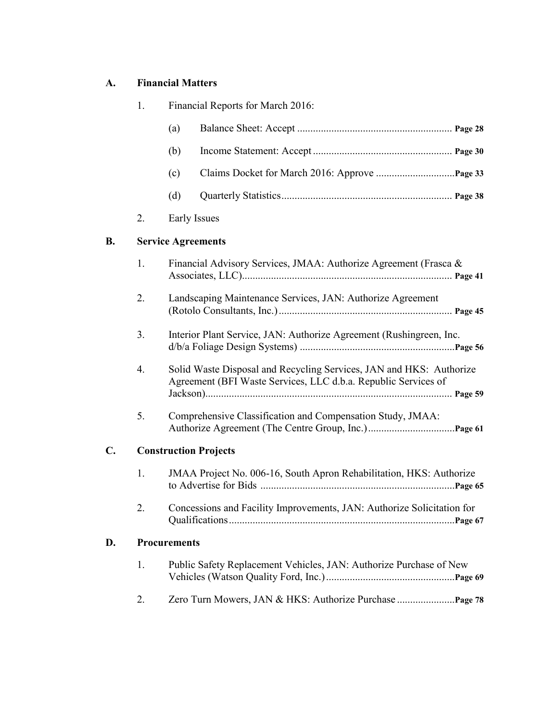## **A. Financial Matters**

| 1.                        | Financial Reports for March 2016:                                                                                                     |  |  |
|---------------------------|---------------------------------------------------------------------------------------------------------------------------------------|--|--|
|                           | (a)                                                                                                                                   |  |  |
|                           | (b)                                                                                                                                   |  |  |
|                           | (c)                                                                                                                                   |  |  |
|                           | (d)                                                                                                                                   |  |  |
| 2.                        | Early Issues                                                                                                                          |  |  |
| <b>Service Agreements</b> |                                                                                                                                       |  |  |
| 1.                        | Financial Advisory Services, JMAA: Authorize Agreement (Frasca &                                                                      |  |  |
| 2.                        | Landscaping Maintenance Services, JAN: Authorize Agreement                                                                            |  |  |
| 3 <sub>1</sub>            | Interior Plant Service, JAN: Authorize Agreement (Rushingreen, Inc.                                                                   |  |  |
| 4.                        | Solid Waste Disposal and Recycling Services, JAN and HKS: Authorize<br>Agreement (BFI Waste Services, LLC d.b.a. Republic Services of |  |  |
| 5.                        | Comprehensive Classification and Compensation Study, JMAA:                                                                            |  |  |
|                           | <b>Construction Projects</b>                                                                                                          |  |  |
| 1.                        | JMAA Project No. 006-16, South Apron Rehabilitation, HKS: Authorize                                                                   |  |  |
| 2.                        | Concessions and Facility Improvements, JAN: Authorize Solicitation for                                                                |  |  |
| <b>Procurements</b>       |                                                                                                                                       |  |  |
| 1.                        | Public Safety Replacement Vehicles, JAN: Authorize Purchase of New                                                                    |  |  |
| 2.                        |                                                                                                                                       |  |  |
|                           |                                                                                                                                       |  |  |